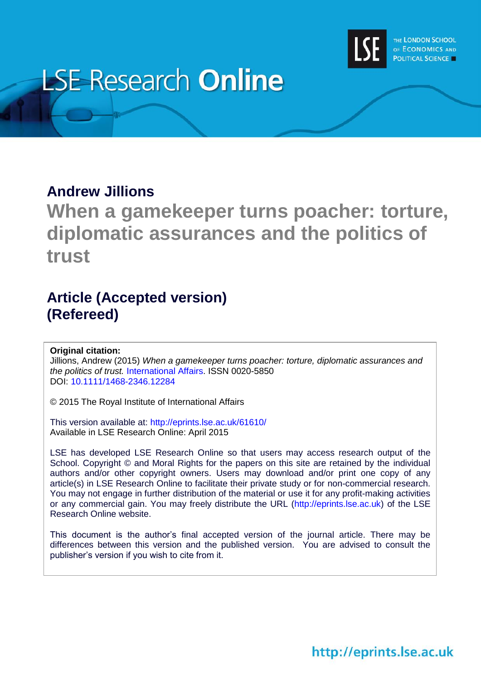

# **LSE Research Online**

### **Andrew Jillions**

**When a gamekeeper turns poacher: torture, diplomatic assurances and the politics of trust**

## **Article (Accepted version) (Refereed)**

#### **Original citation:**

Jillions, Andrew (2015) *When a gamekeeper turns poacher: torture, diplomatic assurances and the politics of trust.* [International Affairs.](http://onlinelibrary.wiley.com/journal/10.1111/(ISSN)1468-2346) ISSN 0020-5850 DOI: [10.1111/1468-2346.12284](http://dx.doi.org/10.1111/1468-2346.12284)

© 2015 The Royal Institute of International Affairs

This version available at:<http://eprints.lse.ac.uk/61610/> Available in LSE Research Online: April 2015

LSE has developed LSE Research Online so that users may access research output of the School. Copyright © and Moral Rights for the papers on this site are retained by the individual authors and/or other copyright owners. Users may download and/or print one copy of any article(s) in LSE Research Online to facilitate their private study or for non-commercial research. You may not engage in further distribution of the material or use it for any profit-making activities or any commercial gain. You may freely distribute the URL (http://eprints.lse.ac.uk) of the LSE Research Online website.

This document is the author's final accepted version of the journal article. There may be differences between this version and the published version. You are advised to consult the publisher's version if you wish to cite from it.

http://eprints.lse.ac.uk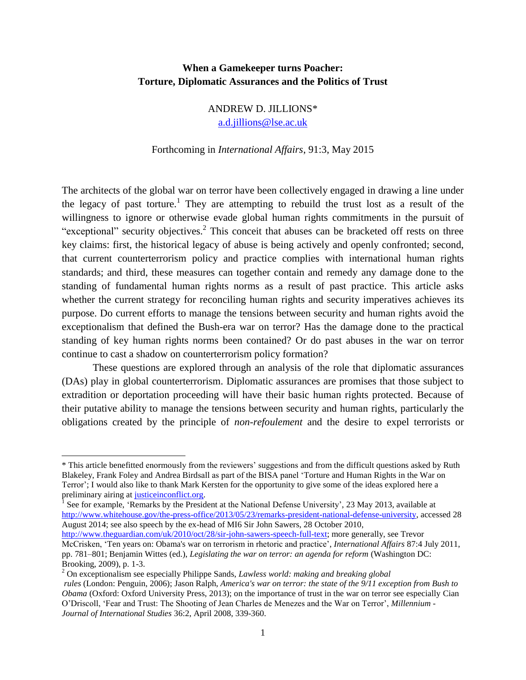#### **When a Gamekeeper turns Poacher: Torture, Diplomatic Assurances and the Politics of Trust**

ANDREW D. JILLIONS\* [a.d.jillions@lse.ac.uk](mailto:a.d.jillions@lse.ac.uk)

#### Forthcoming in *International Affairs*, 91:3, May 2015

The architects of the global war on terror have been collectively engaged in drawing a line under the legacy of past torture.<sup>1</sup> They are attempting to rebuild the trust lost as a result of the willingness to ignore or otherwise evade global human rights commitments in the pursuit of "exceptional" security objectives.<sup>2</sup> This conceit that abuses can be bracketed off rests on three key claims: first, the historical legacy of abuse is being actively and openly confronted; second, that current counterterrorism policy and practice complies with international human rights standards; and third, these measures can together contain and remedy any damage done to the standing of fundamental human rights norms as a result of past practice. This article asks whether the current strategy for reconciling human rights and security imperatives achieves its purpose. Do current efforts to manage the tensions between security and human rights avoid the exceptionalism that defined the Bush-era war on terror? Has the damage done to the practical standing of key human rights norms been contained? Or do past abuses in the war on terror continue to cast a shadow on counterterrorism policy formation?

These questions are explored through an analysis of the role that diplomatic assurances (DAs) play in global counterterrorism. Diplomatic assurances are promises that those subject to extradition or deportation proceeding will have their basic human rights protected. Because of their putative ability to manage the tensions between security and human rights, particularly the obligations created by the principle of *non-refoulement* and the desire to expel terrorists or

<sup>\*</sup> This article benefitted enormously from the reviewers' suggestions and from the difficult questions asked by Ruth Blakeley, Frank Foley and Andrea Birdsall as part of the BISA panel 'Torture and Human Rights in the War on Terror'; I would also like to thank Mark Kersten for the opportunity to give some of the ideas explored here a preliminary airing at <u>justiceinconflict.org</u>.<br><sup>1</sup> See for example. 'Bemarks by the President

See for example, 'Remarks by the President at the National Defense University', 23 May 2013, available at [http://www.whitehouse.gov/the-press-office/2013/05/23/remarks-president-national-defense-university,](http://www.whitehouse.gov/the-press-office/2013/05/23/remarks-president-national-defense-universitya) accessed 28 August 2014; see also speech by the ex-head of MI6 Sir John Sawers, 28 October 2010,

[http://www.theguardian.com/uk/2010/oct/28/sir-john-sawers-speech-full-text;](http://www.theguardian.com/uk/2010/oct/28/sir-john-sawers-speech-full-text) more generally, see Trevor McCrisken, 'Ten years on: Obama's war on terrorism in rhetoric and practice', *International Affairs* 87:4 July 2011, pp. 781–801; Benjamin Wittes (ed.), *Legislating the war on terror: an agenda for reform* (Washington DC: Brooking, 2009), p. 1-3.

<sup>2</sup> On exceptionalism see especially Philippe Sands, *Lawless world: making and breaking global rules* (London: Penguin, 2006); Jason Ralph, *America's war on terror: the state of the 9/11 exception from Bush to Obama* (Oxford: Oxford University Press, 2013); on the importance of trust in the war on terror see especially Cian O'Driscoll, 'Fear and Trust: The Shooting of Jean Charles de Menezes and the War on Terror', *Millennium - Journal of International Studies* 36:2, April 2008, 339-360.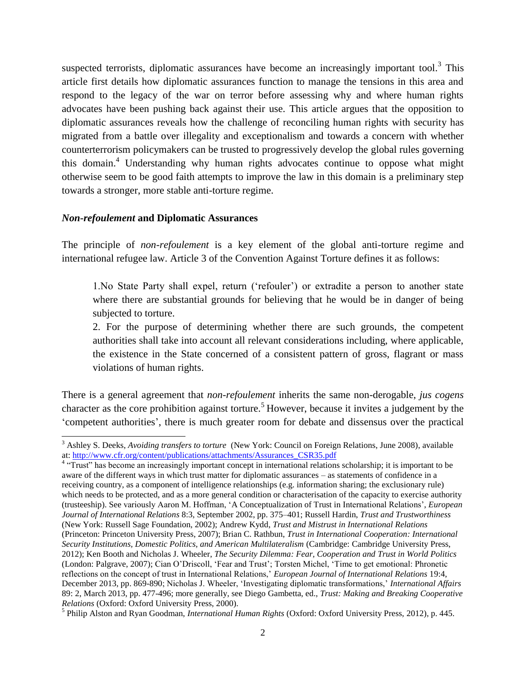suspected terrorists, diplomatic assurances have become an increasingly important tool.<sup>3</sup> This article first details how diplomatic assurances function to manage the tensions in this area and respond to the legacy of the war on terror before assessing why and where human rights advocates have been pushing back against their use. This article argues that the opposition to diplomatic assurances reveals how the challenge of reconciling human rights with security has migrated from a battle over illegality and exceptionalism and towards a concern with whether counterterrorism policymakers can be trusted to progressively develop the global rules governing this domain.<sup>4</sup> Understanding why human rights advocates continue to oppose what might otherwise seem to be good faith attempts to improve the law in this domain is a preliminary step towards a stronger, more stable anti-torture regime.

#### *Non-refoulement* **and Diplomatic Assurances**

The principle of *non-refoulement* is a key element of the global anti-torture regime and international refugee law. Article 3 of the Convention Against Torture defines it as follows:

1.No State Party shall expel, return ('refouler') or extradite a person to another state where there are substantial grounds for believing that he would be in danger of being subjected to torture.

2. For the purpose of determining whether there are such grounds, the competent authorities shall take into account all relevant considerations including, where applicable, the existence in the State concerned of a consistent pattern of gross, flagrant or mass violations of human rights.

There is a general agreement that *non-refoulement* inherits the same non-derogable, *jus cogens* character as the core prohibition against torture.<sup>5</sup> However, because it invites a judgement by the 'competent authorities', there is much greater room for debate and dissensus over the practical

 $\overline{a}$ <sup>3</sup> Ashley S. Deeks, *Avoiding transfers to torture* (New York: Council on Foreign Relations, June 2008), available at: [http://www.cfr.org/content/publications/attachments/Assurances\\_CSR35.pdf](http://www.cfr.org/content/publications/attachments/Assurances_CSR35.pdf)

<sup>&</sup>lt;sup>4</sup> "Trust" has become an increasingly important concept in international relations scholarship; it is important to be aware of the different ways in which trust matter for diplomatic assurances – as statements of confidence in a receiving country, as a component of intelligence relationships (e.g. information sharing; the exclusionary rule) which needs to be protected, and as a more general condition or characterisation of the capacity to exercise authority (trusteeship). See variously Aaron M. Hoffman, 'A Conceptualization of Trust in International Relations', *European Journal of International Relations* 8:3, September 2002, pp. 375–401; Russell Hardin, *Trust and Trustworthiness* (New York: Russell Sage Foundation, 2002); Andrew Kydd, *Trust and Mistrust in International Relations* (Princeton: Princeton University Press, 2007); Brian C. Rathbun, *Trust in International Cooperation: International Security Institutions, Domestic Politics, and American Multilateralism* (Cambridge: Cambridge University Press, 2012); Ken Booth and Nicholas J. Wheeler, *The Security Dilemma: Fear, Cooperation and Trust in World Politics* (London: Palgrave, 2007); Cian O'Driscoll, 'Fear and Trust'; Torsten Michel, 'Time to get emotional: Phronetic reflections on the concept of trust in International Relations,' *European Journal of International Relations* 19:4, December 2013, pp. 869-890; Nicholas J. Wheeler, 'Investigating diplomatic transformations,' *International Affairs* 89: 2, March 2013, pp. 477-496; more generally, see Diego Gambetta, ed., *Trust: Making and Breaking Cooperative Relations* (Oxford: Oxford University Press, 2000).

<sup>5</sup> Philip Alston and Ryan Goodman, *International Human Rights* (Oxford: Oxford University Press, 2012), p. 445.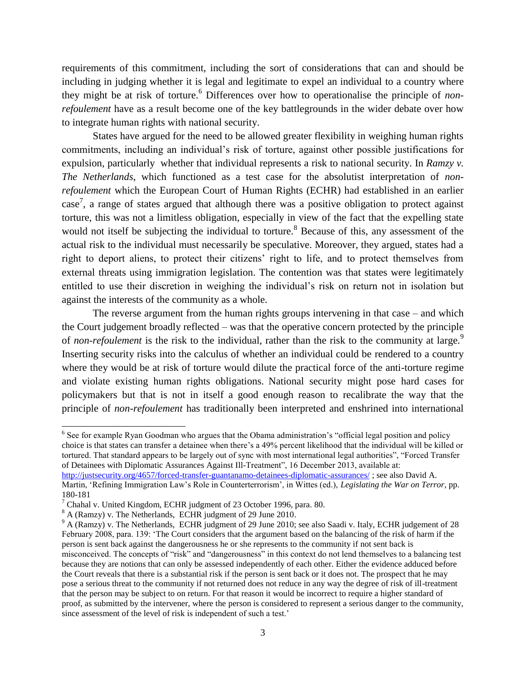requirements of this commitment, including the sort of considerations that can and should be including in judging whether it is legal and legitimate to expel an individual to a country where they might be at risk of torture. <sup>6</sup> Differences over how to operationalise the principle of *nonrefoulement* have as a result become one of the key battlegrounds in the wider debate over how to integrate human rights with national security.

States have argued for the need to be allowed greater flexibility in weighing human rights commitments, including an individual's risk of torture, against other possible justifications for expulsion, particularly whether that individual represents a risk to national security. In *Ramzy v. The Netherlands*, which functioned as a test case for the absolutist interpretation of *nonrefoulement* which the European Court of Human Rights (ECHR) had established in an earlier  $case<sup>7</sup>$ , a range of states argued that although there was a positive obligation to protect against torture, this was not a limitless obligation, especially in view of the fact that the expelling state would not itself be subjecting the individual to torture.<sup>8</sup> Because of this, any assessment of the actual risk to the individual must necessarily be speculative. Moreover, they argued, states had a right to deport aliens, to protect their citizens' right to life, and to protect themselves from external threats using immigration legislation. The contention was that states were legitimately entitled to use their discretion in weighing the individual's risk on return not in isolation but against the interests of the community as a whole.

The reverse argument from the human rights groups intervening in that case – and which the Court judgement broadly reflected – was that the operative concern protected by the principle of *non-refoulement* is the risk to the individual, rather than the risk to the community at large.<sup>9</sup> Inserting security risks into the calculus of whether an individual could be rendered to a country where they would be at risk of torture would dilute the practical force of the anti-torture regime and violate existing human rights obligations. National security might pose hard cases for policymakers but that is not in itself a good enough reason to recalibrate the way that the principle of *non-refoulement* has traditionally been interpreted and enshrined into international

 <sup>6</sup> See for example Ryan Goodman who argues that the Obama administration's "official legal position and policy choice is that states can transfer a detainee when there's a 49% percent likelihood that the individual will be killed or tortured. That standard appears to be largely out of sync with most international legal authorities", "Forced Transfer of Detainees with Diplomatic Assurances Against Ill-Treatment", 16 December 2013, available at:

<http://justsecurity.org/4657/forced-transfer-guantanamo-detainees-diplomatic-assurances/> ; see also David A. Martin, 'Refining Immigration Law's Role in Counterterrorism', in Wittes (ed.), *Legislating the War on Terror*, pp. 180-181

 $7$  Chahal v. United Kingdom, ECHR judgment of 23 October 1996, para. 80.

<sup>8</sup> A (Ramzy) v. The Netherlands, ECHR judgment of 29 June 2010.

<sup>&</sup>lt;sup>9</sup> A (Ramzy) v. The Netherlands, ECHR judgment of 29 June 2010; see also Saadi v. Italy, ECHR judgement of 28 February 2008, para. 139: 'The Court considers that the argument based on the balancing of the risk of harm if the person is sent back against the dangerousness he or she represents to the community if not sent back is misconceived. The concepts of "risk" and "dangerousness" in this context do not lend themselves to a balancing test because they are notions that can only be assessed independently of each other. Either the evidence adduced before the Court reveals that there is a substantial risk if the person is sent back or it does not. The prospect that he may pose a serious threat to the community if not returned does not reduce in any way the degree of risk of ill-treatment that the person may be subject to on return. For that reason it would be incorrect to require a higher standard of proof, as submitted by the intervener, where the person is considered to represent a serious danger to the community, since assessment of the level of risk is independent of such a test.'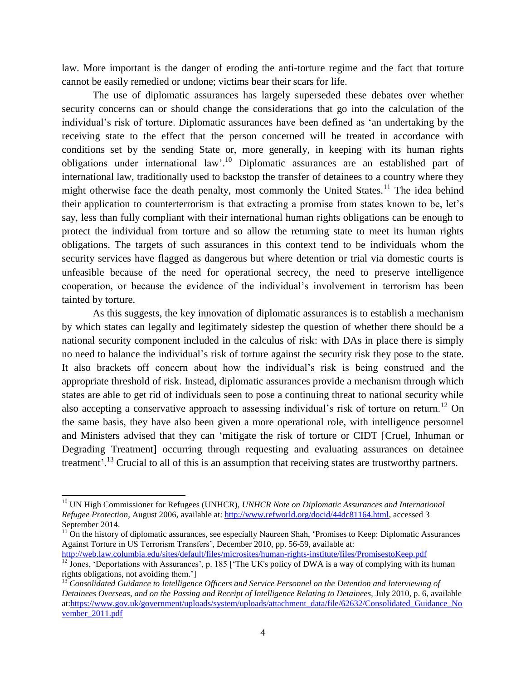law. More important is the danger of eroding the anti-torture regime and the fact that torture cannot be easily remedied or undone; victims bear their scars for life.

The use of diplomatic assurances has largely superseded these debates over whether security concerns can or should change the considerations that go into the calculation of the individual's risk of torture. Diplomatic assurances have been defined as 'an undertaking by the receiving state to the effect that the person concerned will be treated in accordance with conditions set by the sending State or, more generally, in keeping with its human rights obligations under international law'.<sup>10</sup> Diplomatic assurances are an established part of international law, traditionally used to backstop the transfer of detainees to a country where they might otherwise face the death penalty, most commonly the United States.<sup>11</sup> The idea behind their application to counterterrorism is that extracting a promise from states known to be, let's say, less than fully compliant with their international human rights obligations can be enough to protect the individual from torture and so allow the returning state to meet its human rights obligations. The targets of such assurances in this context tend to be individuals whom the security services have flagged as dangerous but where detention or trial via domestic courts is unfeasible because of the need for operational secrecy, the need to preserve intelligence cooperation, or because the evidence of the individual's involvement in terrorism has been tainted by torture.

As this suggests, the key innovation of diplomatic assurances is to establish a mechanism by which states can legally and legitimately sidestep the question of whether there should be a national security component included in the calculus of risk: with DAs in place there is simply no need to balance the individual's risk of torture against the security risk they pose to the state. It also brackets off concern about how the individual's risk is being construed and the appropriate threshold of risk. Instead, diplomatic assurances provide a mechanism through which states are able to get rid of individuals seen to pose a continuing threat to national security while also accepting a conservative approach to assessing individual's risk of torture on return.<sup>12</sup> On the same basis, they have also been given a more operational role, with intelligence personnel and Ministers advised that they can 'mitigate the risk of torture or CIDT [Cruel, Inhuman or Degrading Treatment] occurring through requesting and evaluating assurances on detainee treatment'.<sup>13</sup> Crucial to all of this is an assumption that receiving states are trustworthy partners.

<sup>&</sup>lt;sup>10</sup> UN High Commissioner for Refugees (UNHCR), *UNHCR Note on Diplomatic Assurances and International Refugee Protection*, August 2006, available at: [http://www.refworld.org/docid/44dc81164.html,](http://www.refworld.org/docid/44dc81164.html) accessed 3 September 2014.

 $11$ <sup>11</sup> On the history of diplomatic assurances, see especially Naureen Shah, 'Promises to Keep: Diplomatic Assurances Against Torture in US Terrorism Transfers', December 2010, pp. 56-59, available at:

<http://web.law.columbia.edu/sites/default/files/microsites/human-rights-institute/files/PromisestoKeep.pdf>  $\frac{12}{12}$  Jones, 'Deportations with Assurances', p. 185 ['The UK's policy of DWA is a way of complying with its human rights obligations, not avoiding them.']

<sup>13</sup> *Consolidated Guidance to Intelligence Officers and Service Personnel on the Detention and Interviewing of Detainees Overseas, and on the Passing and Receipt of Intelligence Relating to Detainees,* July 2010, p. 6, available at[:https://www.gov.uk/government/uploads/system/uploads/attachment\\_data/file/62632/Consolidated\\_Guidance\\_No](https://www.gov.uk/government/uploads/system/uploads/attachment_data/file/62632/Consolidated_Guidance_November_2011.pdf) vember 2011.pdf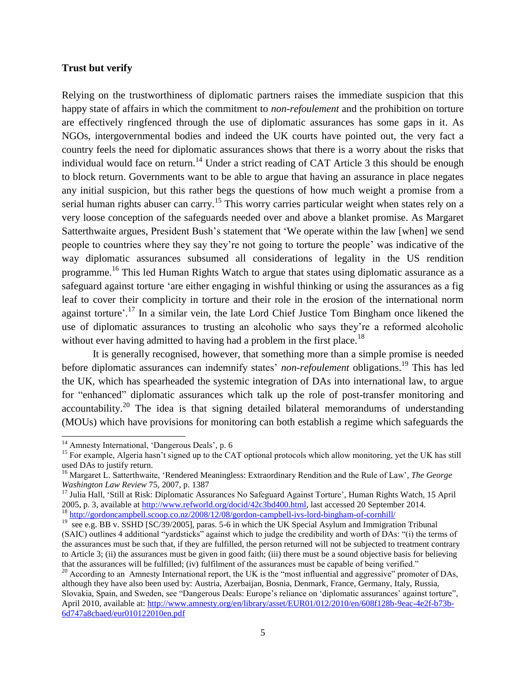#### **Trust but verify**

Relying on the trustworthiness of diplomatic partners raises the immediate suspicion that this happy state of affairs in which the commitment to *non-refoulement* and the prohibition on torture are effectively ringfenced through the use of diplomatic assurances has some gaps in it. As NGOs, intergovernmental bodies and indeed the UK courts have pointed out, the very fact a country feels the need for diplomatic assurances shows that there is a worry about the risks that individual would face on return.<sup>14</sup> Under a strict reading of CAT Article 3 this should be enough to block return. Governments want to be able to argue that having an assurance in place negates any initial suspicion, but this rather begs the questions of how much weight a promise from a serial human rights abuser can carry.<sup>15</sup> This worry carries particular weight when states rely on a very loose conception of the safeguards needed over and above a blanket promise. As Margaret Satterthwaite argues, President Bush's statement that 'We operate within the law [when] we send people to countries where they say they're not going to torture the people' was indicative of the way diplomatic assurances subsumed all considerations of legality in the US rendition programme.<sup>16</sup> This led Human Rights Watch to argue that states using diplomatic assurance as a safeguard against torture 'are either engaging in wishful thinking or using the assurances as a fig leaf to cover their complicity in torture and their role in the erosion of the international norm against torture'.<sup>17</sup> In a similar vein, the late Lord Chief Justice Tom Bingham once likened the use of diplomatic assurances to trusting an alcoholic who says they're a reformed alcoholic without ever having admitted to having had a problem in the first place.<sup>18</sup>

It is generally recognised, however, that something more than a simple promise is needed before diplomatic assurances can indemnify states' *non-refoulement* obligations.<sup>19</sup> This has led the UK, which has spearheaded the systemic integration of DAs into international law, to argue for "enhanced" diplomatic assurances which talk up the role of post-transfer monitoring and accountability.<sup>20</sup> The idea is that signing detailed bilateral memorandums of understanding (MOUs) which have provisions for monitoring can both establish a regime which safeguards the

<sup>&</sup>lt;sup>14</sup> Amnesty International, 'Dangerous Deals', p. 6

<sup>&</sup>lt;sup>15</sup> For example, Algeria hasn't signed up to the CAT optional protocols which allow monitoring, yet the UK has still used DAs to justify return.

<sup>16</sup> Margaret L. Satterthwaite, 'Rendered Meaningless: Extraordinary Rendition and the Rule of Law', *The George Washington Law Review* 75, 2007, p. 1387

<sup>&</sup>lt;sup>17</sup> Julia Hall, 'Still at Risk: Diplomatic Assurances No Safeguard Against Torture', Human Rights Watch, 15 April 2005, p. 3, available at [http://www.refworld.org/docid/42c3bd400.html,](http://www.refworld.org/docid/42c3bd400.html) last accessed 20 September 2014. <sup>18</sup> <http://gordoncampbell.scoop.co.nz/2008/12/08/gordon-campbell-ivs-lord-bingham-of-cornhill/>

<sup>&</sup>lt;sup>19</sup> see e.g. BB v. SSHD [SC/39/2005], paras. 5-6 in which the UK Special Asylum and Immigration Tribunal (SAIC) outlines 4 additional "yardsticks" against which to judge the credibility and worth of DAs: "(i) the terms of the assurances must be such that, if they are fulfilled, the person returned will not be subjected to treatment contrary to Article 3; (ii) the assurances must be given in good faith; (iii) there must be a sound objective basis for believing that the assurances will be fulfilled; (iv) fulfilment of the assurances must be capable of being verified."

 $20$  According to an Amnesty International report, the UK is the "most influential and aggressive" promoter of DAs, although they have also been used by: Austria, Azerbaijan, Bosnia, Denmark, France, Germany, Italy, Russia, Slovakia, Spain, and Sweden, see "Dangerous Deals: Europe's reliance on 'diplomatic assurances' against torture", April 2010, available at[: http://www.amnesty.org/en/library/asset/EUR01/012/2010/en/608f128b-9eac-4e2f-b73b-](http://www.amnesty.org/en/library/asset/EUR01/012/2010/en/608f128b-9eac-4e2f-b73b-6d747a8cbaed/eur010122010en.pdf)[6d747a8cbaed/eur010122010en.pdf](http://www.amnesty.org/en/library/asset/EUR01/012/2010/en/608f128b-9eac-4e2f-b73b-6d747a8cbaed/eur010122010en.pdf)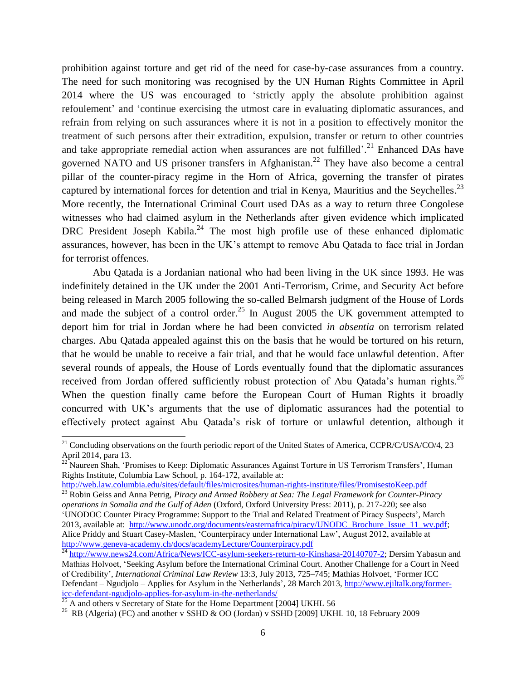prohibition against torture and get rid of the need for case-by-case assurances from a country. The need for such monitoring was recognised by the UN Human Rights Committee in April 2014 where the US was encouraged to 'strictly apply the absolute prohibition against refoulement' and 'continue exercising the utmost care in evaluating diplomatic assurances, and refrain from relying on such assurances where it is not in a position to effectively monitor the treatment of such persons after their extradition, expulsion, transfer or return to other countries and take appropriate remedial action when assurances are not fulfilled'.<sup>21</sup> Enhanced DAs have governed NATO and US prisoner transfers in Afghanistan.<sup>22</sup> They have also become a central pillar of the counter-piracy regime in the Horn of Africa, governing the transfer of pirates captured by international forces for detention and trial in Kenya, Mauritius and the Seychelles.<sup>23</sup> More recently, the International Criminal Court used DAs as a way to return three Congolese witnesses who had claimed asylum in the Netherlands after given evidence which implicated DRC President Joseph Kabila.<sup>24</sup> The most high profile use of these enhanced diplomatic assurances, however, has been in the UK's attempt to remove Abu Qatada to face trial in Jordan for terrorist offences.

Abu Qatada is a Jordanian national who had been living in the UK since 1993. He was indefinitely detained in the UK under the 2001 Anti-Terrorism, Crime, and Security Act before being released in March 2005 following the so-called Belmarsh judgment of the House of Lords and made the subject of a control order.<sup>25</sup> In August 2005 the UK government attempted to deport him for trial in Jordan where he had been convicted *in absentia* on terrorism related charges. Abu Qatada appealed against this on the basis that he would be tortured on his return, that he would be unable to receive a fair trial, and that he would face unlawful detention. After several rounds of appeals, the House of Lords eventually found that the diplomatic assurances received from Jordan offered sufficiently robust protection of Abu Qatada's human rights.<sup>26</sup> When the question finally came before the European Court of Human Rights it broadly concurred with UK's arguments that the use of diplomatic assurances had the potential to effectively protect against Abu Qatada's risk of torture or unlawful detention, although it

<http://web.law.columbia.edu/sites/default/files/microsites/human-rights-institute/files/PromisestoKeep.pdf>

<sup>&</sup>lt;sup>21</sup> Concluding observations on the fourth periodic report of the United States of America, CCPR/C/USA/CO/4, 23 April 2014, para 13.

<sup>&</sup>lt;sup>22</sup> Naureen Shah, 'Promises to Keep: Diplomatic Assurances Against Torture in US Terrorism Transfers', Human Rights Institute, Columbia Law School, p. 164-172, available at:

<sup>&</sup>lt;sup>23</sup> Robin Geiss and Anna Petrig, *Piracy and Armed Robbery at Sea: The Legal Framework for Counter-Piracy operations in Somalia and the Gulf of Aden* (Oxford, Oxford University Press: 2011), p. 217-220; see also 'UNODOC Counter Piracy Programme: Support to the Trial and Related Treatment of Piracy Suspects', March 2013, available at: [http://www.unodc.org/documents/easternafrica/piracy/UNODC\\_Brochure\\_Issue\\_11\\_wv.pdf;](http://www.unodc.org/documents/easternafrica/piracy/UNODC_Brochure_Issue_11_wv.pdf) Alice Priddy and Stuart Casey-Maslen, 'Counterpiracy under International Law', August 2012, available at <http://www.geneva-academy.ch/docs/academyLecture/Counterpiracy.pdf>

<sup>&</sup>lt;sup>24</sup> [http://www.news24.com/Africa/News/ICC-asylum-seekers-return-to-Kinshasa-20140707-2;](http://www.news24.com/Africa/News/ICC-asylum-seekers-return-to-Kinshasa-20140707-2) Dersim Yabasun and Mathias Holvoet, 'Seeking Asylum before the International Criminal Court. Another Challenge for a Court in Need of Credibility', *International Criminal Law Review* 13:3, July 2013, 725–745; Mathias Holvoet, 'Former ICC Defendant – Ngudjolo – Applies for Asylum in the Netherlands', 28 March 2013, [http://www.ejiltalk.org/former](http://www.ejiltalk.org/former-icc-defendant-ngudjolo-applies-for-asylum-in-the-netherlands/)icc-defendant-ngudjolo-applies-for-asylum-in-the-netherlands/<br> $\frac{25 \text{ A end of the number of times per unit.}}{25 \text{ A end of the number of times per unit.}}$ 

<sup>&</sup>lt;sup>2</sup> A and others v Secretary of State for the Home Department [2004] UKHL 56

<sup>&</sup>lt;sup>26</sup> RB (Algeria) (FC) and another v SSHD & OO (Jordan) v SSHD [2009] UKHL 10, 18 February 2009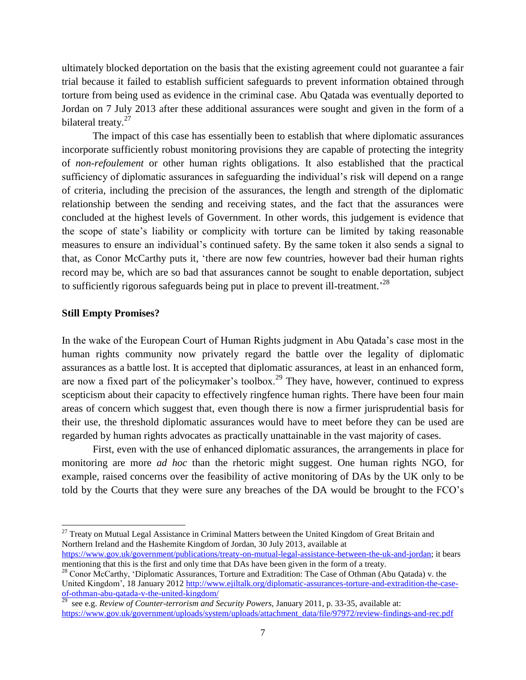ultimately blocked deportation on the basis that the existing agreement could not guarantee a fair trial because it failed to establish sufficient safeguards to prevent information obtained through torture from being used as evidence in the criminal case. Abu Qatada was eventually deported to Jordan on 7 July 2013 after these additional assurances were sought and given in the form of a bilateral treaty.<sup>27</sup>

The impact of this case has essentially been to establish that where diplomatic assurances incorporate sufficiently robust monitoring provisions they are capable of protecting the integrity of *non-refoulement* or other human rights obligations. It also established that the practical sufficiency of diplomatic assurances in safeguarding the individual's risk will depend on a range of criteria, including the precision of the assurances, the length and strength of the diplomatic relationship between the sending and receiving states, and the fact that the assurances were concluded at the highest levels of Government. In other words, this judgement is evidence that the scope of state's liability or complicity with torture can be limited by taking reasonable measures to ensure an individual's continued safety. By the same token it also sends a signal to that, as Conor McCarthy puts it, 'there are now few countries, however bad their human rights record may be, which are so bad that assurances cannot be sought to enable deportation, subject to sufficiently rigorous safeguards being put in place to prevent ill-treatment.<sup>28</sup>

#### **Still Empty Promises?**

 $\overline{a}$ 

In the wake of the European Court of Human Rights judgment in Abu Qatada's case most in the human rights community now privately regard the battle over the legality of diplomatic assurances as a battle lost. It is accepted that diplomatic assurances, at least in an enhanced form, are now a fixed part of the policymaker's toolbox.<sup>29</sup> They have, however, continued to express scepticism about their capacity to effectively ringfence human rights. There have been four main areas of concern which suggest that, even though there is now a firmer jurisprudential basis for their use, the threshold diplomatic assurances would have to meet before they can be used are regarded by human rights advocates as practically unattainable in the vast majority of cases.

First, even with the use of enhanced diplomatic assurances, the arrangements in place for monitoring are more *ad hoc* than the rhetoric might suggest. One human rights NGO, for example, raised concerns over the feasibility of active monitoring of DAs by the UK only to be told by the Courts that they were sure any breaches of the DA would be brought to the FCO's

 $27$  Treaty on Mutual Legal Assistance in Criminal Matters between the United Kingdom of Great Britain and Northern Ireland and the Hashemite Kingdom of Jordan, 30 July 2013, available at

[https://www.gov.uk/government/publications/treaty-on-mutual-legal-assistance-between-the-uk-and-jordan;](https://www.gov.uk/government/publications/treaty-on-mutual-legal-assistance-between-the-uk-and-jordan) it bears mentioning that this is the first and only time that DAs have been given in the form of a treaty.

<sup>&</sup>lt;sup>28</sup> Conor McCarthy, 'Diplomatic Assurances, Torture and Extradition: The Case of Othman (Abu Qatada) v. the United Kingdom', 18 January 2012 [http://www.ejiltalk.org/diplomatic-assurances-torture-and-extradition-the-case](http://www.ejiltalk.org/diplomatic-assurances-torture-and-extradition-the-case-of-othman-abu-qatada-v-the-united-kingdom/)of-othman-abu-qatada-v-the-united-kingdom/<br><sup>29</sup> see e.g. *Review of Counter-terrorism and Security Powers*, January 2011, p. 33-35, available at:

[https://www.gov.uk/government/uploads/system/uploads/attachment\\_data/file/97972/review-findings-and-rec.pdf](https://www.gov.uk/government/uploads/system/uploads/attachment_data/file/97972/review-findings-and-rec.pdf)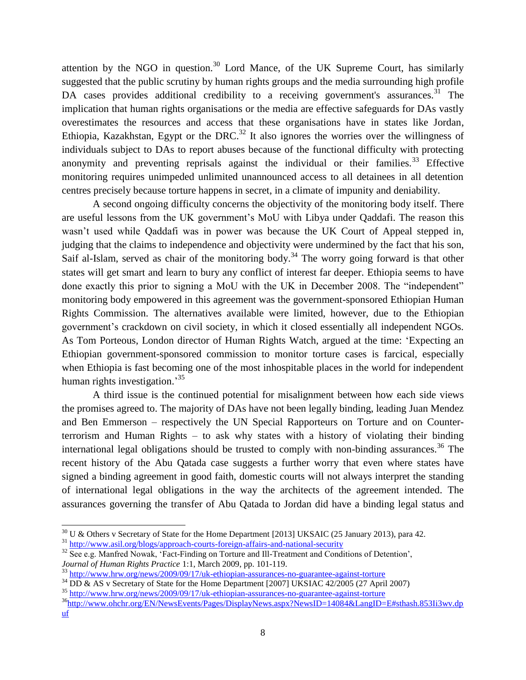attention by the NGO in question.<sup>30</sup> Lord Mance, of the UK Supreme Court, has similarly suggested that the public scrutiny by human rights groups and the media surrounding high profile DA cases provides additional credibility to a receiving government's assurances.<sup>31</sup> The implication that human rights organisations or the media are effective safeguards for DAs vastly overestimates the resources and access that these organisations have in states like Jordan, Ethiopia, Kazakhstan, Egypt or the DRC.<sup>32</sup> It also ignores the worries over the willingness of individuals subject to DAs to report abuses because of the functional difficulty with protecting anonymity and preventing reprisals against the individual or their families.<sup>33</sup> Effective monitoring requires unimpeded unlimited unannounced access to all detainees in all detention centres precisely because torture happens in secret, in a climate of impunity and deniability.

A second ongoing difficulty concerns the objectivity of the monitoring body itself. There are useful lessons from the UK government's MoU with Libya under Qaddafi. The reason this wasn't used while Qaddafi was in power was because the UK Court of Appeal stepped in, judging that the claims to independence and objectivity were undermined by the fact that his son, Saif al-Islam, served as chair of the monitoring body.<sup>34</sup> The worry going forward is that other states will get smart and learn to bury any conflict of interest far deeper. Ethiopia seems to have done exactly this prior to signing a MoU with the UK in December 2008. The "independent" monitoring body empowered in this agreement was the government-sponsored Ethiopian Human Rights Commission. The alternatives available were limited, however, due to the Ethiopian government's crackdown on civil society, in which it closed essentially all independent NGOs. As Tom Porteous, London director of Human Rights Watch, argued at the time: 'Expecting an Ethiopian government-sponsored commission to monitor torture cases is farcical, especially when Ethiopia is fast becoming one of the most inhospitable places in the world for independent human rights investigation.<sup>35</sup>

A third issue is the continued potential for misalignment between how each side views the promises agreed to. The majority of DAs have not been legally binding, leading Juan Mendez and Ben Emmerson – respectively the UN Special Rapporteurs on Torture and on Counterterrorism and Human Rights – to ask why states with a history of violating their binding international legal obligations should be trusted to comply with non-binding assurances.<sup>36</sup> The recent history of the Abu Qatada case suggests a further worry that even where states have signed a binding agreement in good faith, domestic courts will not always interpret the standing of international legal obligations in the way the architects of the agreement intended. The assurances governing the transfer of Abu Qatada to Jordan did have a binding legal status and

 $30 \text{ U } \&$  Others v Secretary of State for the Home Department [2013] UKSAIC (25 January 2013), para 42.

<sup>&</sup>lt;sup>31</sup> <http://www.asil.org/blogs/approach-courts-foreign-affairs-and-national-security>

<sup>&</sup>lt;sup>32</sup> See e.g. Manfred Nowak, 'Fact-Finding on Torture and Ill-Treatment and Conditions of Detention', *Journal of Human Rights Practice* 1:1, March 2009, pp. 101-119.

<sup>&</sup>lt;sup>33</sup> <http://www.hrw.org/news/2009/09/17/uk-ethiopian-assurances-no-guarantee-against-torture>

<sup>&</sup>lt;sup>34</sup> DD & AS v Secretary of State for the Home Department [2007] UKSIAC 42/2005 (27 April 2007)

<sup>35</sup> <http://www.hrw.org/news/2009/09/17/uk-ethiopian-assurances-no-guarantee-against-torture>

<sup>36</sup>[http://www.ohchr.org/EN/NewsEvents/Pages/DisplayNews.aspx?NewsID=14084&LangID=E#sthash.853Ii3wv.dp](http://www.ohchr.org/EN/NewsEvents/Pages/DisplayNews.aspx?NewsID=14084&LangID=E#sthash.853Ii3wv.dpuf) [uf](http://www.ohchr.org/EN/NewsEvents/Pages/DisplayNews.aspx?NewsID=14084&LangID=E#sthash.853Ii3wv.dpuf)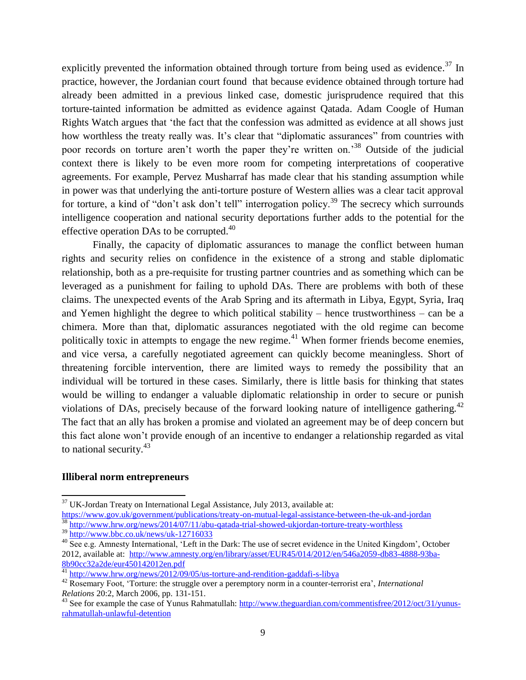explicitly prevented the information obtained through torture from being used as evidence.<sup>37</sup> In practice, however, the Jordanian court found that because evidence obtained through torture had already been admitted in a previous linked case, domestic jurisprudence required that this torture-tainted information be admitted as evidence against Qatada. Adam Coogle of Human Rights Watch argues that 'the fact that the confession was admitted as evidence at all shows just how worthless the treaty really was. It's clear that "diplomatic assurances" from countries with poor records on torture aren't worth the paper they're written on.<sup>38</sup> Outside of the judicial context there is likely to be even more room for competing interpretations of cooperative agreements. For example, Pervez Musharraf has made clear that his standing assumption while in power was that underlying the anti-torture posture of Western allies was a clear tacit approval for torture, a kind of "don't ask don't tell" interrogation policy.<sup>39</sup> The secrecy which surrounds intelligence cooperation and national security deportations further adds to the potential for the effective operation DAs to be corrupted. $40$ 

Finally, the capacity of diplomatic assurances to manage the conflict between human rights and security relies on confidence in the existence of a strong and stable diplomatic relationship, both as a pre-requisite for trusting partner countries and as something which can be leveraged as a punishment for failing to uphold DAs. There are problems with both of these claims. The unexpected events of the Arab Spring and its aftermath in Libya, Egypt, Syria, Iraq and Yemen highlight the degree to which political stability – hence trustworthiness – can be a chimera. More than that, diplomatic assurances negotiated with the old regime can become politically toxic in attempts to engage the new regime.<sup>41</sup> When former friends become enemies, and vice versa, a carefully negotiated agreement can quickly become meaningless. Short of threatening forcible intervention, there are limited ways to remedy the possibility that an individual will be tortured in these cases. Similarly, there is little basis for thinking that states would be willing to endanger a valuable diplomatic relationship in order to secure or punish violations of DAs, precisely because of the forward looking nature of intelligence gathering.<sup>42</sup> The fact that an ally has broken a promise and violated an agreement may be of deep concern but this fact alone won't provide enough of an incentive to endanger a relationship regarded as vital to national security.<sup>43</sup>

#### **Illiberal norm entrepreneurs**

 $\overline{a}$ 

<sup>38</sup> <http://www.hrw.org/news/2014/07/11/abu-qatada-trial-showed-ukjordan-torture-treaty-worthless>

 $37$  UK-Jordan Treaty on International Legal Assistance, July 2013, available at:

<https://www.gov.uk/government/publications/treaty-on-mutual-legal-assistance-between-the-uk-and-jordan>

<sup>39</sup> <http://www.bbc.co.uk/news/uk-12716033>

 $40\overline{See}$  e.g. Amnesty International, 'Left in the Dark: The use of secret evidence in the United Kingdom', October 2012, available at: [http://www.amnesty.org/en/library/asset/EUR45/014/2012/en/546a2059-db83-4888-93ba-](http://www.amnesty.org/en/library/asset/EUR45/014/2012/en/546a2059-db83-4888-93ba-8b90cc32a2de/eur450142012en.pdf)[8b90cc32a2de/eur450142012en.pdf](http://www.amnesty.org/en/library/asset/EUR45/014/2012/en/546a2059-db83-4888-93ba-8b90cc32a2de/eur450142012en.pdf) 

<sup>41</sup> <http://www.hrw.org/news/2012/09/05/us-torture-and-rendition-gaddafi-s-libya>

<sup>42</sup> Rosemary Foot, 'Torture: the struggle over a peremptory norm in a counter-terrorist era', *International Relations* 20:2, March 2006, pp. 131-151.

<sup>&</sup>lt;sup>43</sup> See for example the case of Yunus Rahmatullah: [http://www.theguardian.com/commentisfree/2012/oct/31/yunus](http://www.theguardian.com/commentisfree/2012/oct/31/yunus-rahmatullah-unlawful-detention)[rahmatullah-unlawful-detention](http://www.theguardian.com/commentisfree/2012/oct/31/yunus-rahmatullah-unlawful-detention)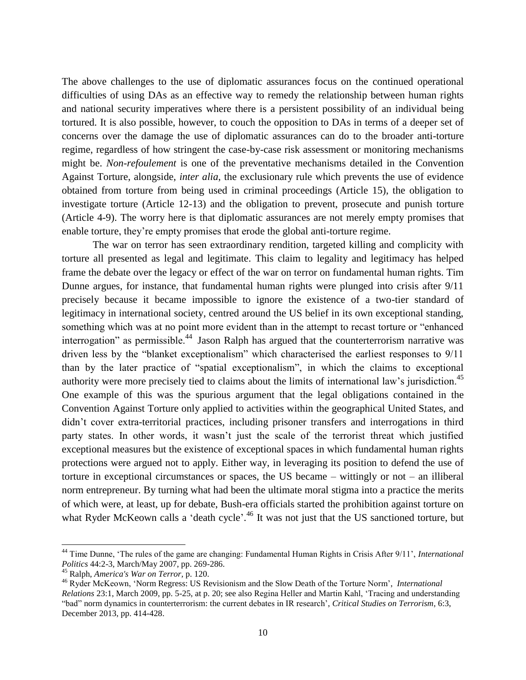The above challenges to the use of diplomatic assurances focus on the continued operational difficulties of using DAs as an effective way to remedy the relationship between human rights and national security imperatives where there is a persistent possibility of an individual being tortured. It is also possible, however, to couch the opposition to DAs in terms of a deeper set of concerns over the damage the use of diplomatic assurances can do to the broader anti-torture regime, regardless of how stringent the case-by-case risk assessment or monitoring mechanisms might be. *Non-refoulement* is one of the preventative mechanisms detailed in the Convention Against Torture, alongside, *inter alia*, the exclusionary rule which prevents the use of evidence obtained from torture from being used in criminal proceedings (Article 15), the obligation to investigate torture (Article 12-13) and the obligation to prevent, prosecute and punish torture (Article 4-9). The worry here is that diplomatic assurances are not merely empty promises that enable torture, they're empty promises that erode the global anti-torture regime.

 The war on terror has seen extraordinary rendition, targeted killing and complicity with torture all presented as legal and legitimate. This claim to legality and legitimacy has helped frame the debate over the legacy or effect of the war on terror on fundamental human rights. Tim Dunne argues, for instance, that fundamental human rights were plunged into crisis after 9/11 precisely because it became impossible to ignore the existence of a two-tier standard of legitimacy in international society, centred around the US belief in its own exceptional standing, something which was at no point more evident than in the attempt to recast torture or "enhanced interrogation" as permissible.<sup>44</sup> Jason Ralph has argued that the counterterrorism narrative was driven less by the "blanket exceptionalism" which characterised the earliest responses to 9/11 than by the later practice of "spatial exceptionalism", in which the claims to exceptional authority were more precisely tied to claims about the limits of international law's jurisdiction.<sup>45</sup> One example of this was the spurious argument that the legal obligations contained in the Convention Against Torture only applied to activities within the geographical United States, and didn't cover extra-territorial practices, including prisoner transfers and interrogations in third party states. In other words, it wasn't just the scale of the terrorist threat which justified exceptional measures but the existence of exceptional spaces in which fundamental human rights protections were argued not to apply. Either way, in leveraging its position to defend the use of torture in exceptional circumstances or spaces, the US became – wittingly or not – an illiberal norm entrepreneur. By turning what had been the ultimate moral stigma into a practice the merits of which were, at least, up for debate, Bush-era officials started the prohibition against torture on what Ryder McKeown calls a 'death cycle'.<sup>46</sup> It was not just that the US sanctioned torture, but

<sup>44</sup> Time Dunne, 'The rules of the game are changing: Fundamental Human Rights in Crisis After 9/11', *International Politics* 44:2-3, March/May 2007, pp. 269-286.

<sup>45</sup> Ralph, *America's War on Terror,* p. 120.

<sup>46</sup> Ryder McKeown, 'Norm Regress: US Revisionism and the Slow Death of the Torture Norm', *International Relations* 23:1, March 2009, pp. 5-25, at p. 20; see also Regina Heller and Martin Kahl, 'Tracing and understanding "bad" norm dynamics in counterterrorism: the current debates in IR research', *Critical Studies on Terrorism*, 6:3, December 2013, pp. 414-428.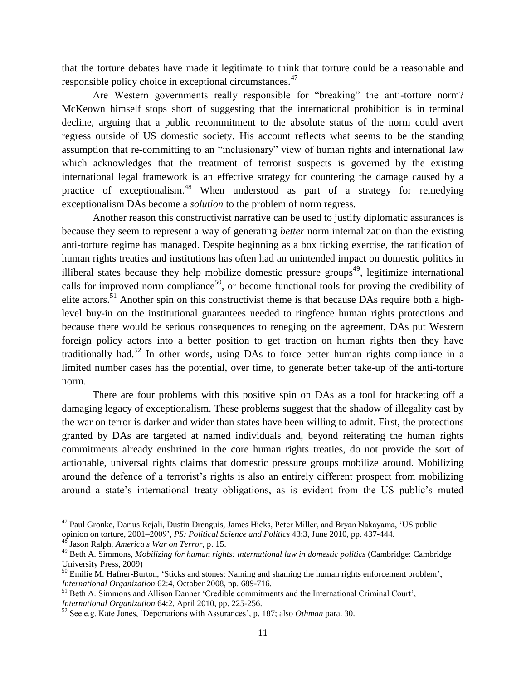that the torture debates have made it legitimate to think that torture could be a reasonable and responsible policy choice in exceptional circumstances.<sup>47</sup>

Are Western governments really responsible for "breaking" the anti-torture norm? McKeown himself stops short of suggesting that the international prohibition is in terminal decline, arguing that a public recommitment to the absolute status of the norm could avert regress outside of US domestic society. His account reflects what seems to be the standing assumption that re-committing to an "inclusionary" view of human rights and international law which acknowledges that the treatment of terrorist suspects is governed by the existing international legal framework is an effective strategy for countering the damage caused by a practice of exceptionalism.<sup>48</sup> When understood as part of a strategy for remedying exceptionalism DAs become a *solution* to the problem of norm regress.

Another reason this constructivist narrative can be used to justify diplomatic assurances is because they seem to represent a way of generating *better* norm internalization than the existing anti-torture regime has managed. Despite beginning as a box ticking exercise, the ratification of human rights treaties and institutions has often had an unintended impact on domestic politics in illiberal states because they help mobilize domestic pressure groups<sup>49</sup>, legitimize international calls for improved norm compliance<sup>50</sup>, or become functional tools for proving the credibility of elite actors.<sup>51</sup> Another spin on this constructivist theme is that because DAs require both a highlevel buy-in on the institutional guarantees needed to ringfence human rights protections and because there would be serious consequences to reneging on the agreement, DAs put Western foreign policy actors into a better position to get traction on human rights then they have traditionally had.<sup>52</sup> In other words, using DAs to force better human rights compliance in a limited number cases has the potential, over time, to generate better take-up of the anti-torture norm.

There are four problems with this positive spin on DAs as a tool for bracketing off a damaging legacy of exceptionalism. These problems suggest that the shadow of illegality cast by the war on terror is darker and wider than states have been willing to admit. First, the protections granted by DAs are targeted at named individuals and, beyond reiterating the human rights commitments already enshrined in the core human rights treaties, do not provide the sort of actionable, universal rights claims that domestic pressure groups mobilize around. Mobilizing around the defence of a terrorist's rights is also an entirely different prospect from mobilizing around a state's international treaty obligations, as is evident from the US public's muted

<sup>&</sup>lt;sup>47</sup> Paul Gronke, Darius Rejali, Dustin Drenguis, James Hicks, Peter Miller, and Bryan Nakayama, 'US public opinion on torture, 2001–2009', *PS: Political Science and Politics* 43:3, June 2010, pp. 437-444.

<sup>48</sup> Jason Ralph, *America's War on Terror,* p. 15.

<sup>49</sup> Beth A. Simmons, *Mobilizing for human rights: international law in domestic politics* (Cambridge: Cambridge University Press, 2009)

<sup>&</sup>lt;sup>50</sup> Emilie M. Hafner-Burton, 'Sticks and stones: Naming and shaming the human rights enforcement problem', *International Organization* 62:4, October 2008, pp. 689-716.

<sup>&</sup>lt;sup>51</sup> Beth A. Simmons and Allison Danner 'Credible commitments and the International Criminal Court', *International Organization* 64:2, April 2010, pp. 225-256.

<sup>52</sup> See e.g. Kate Jones, 'Deportations with Assurances', p. 187; also *Othman* para. 30.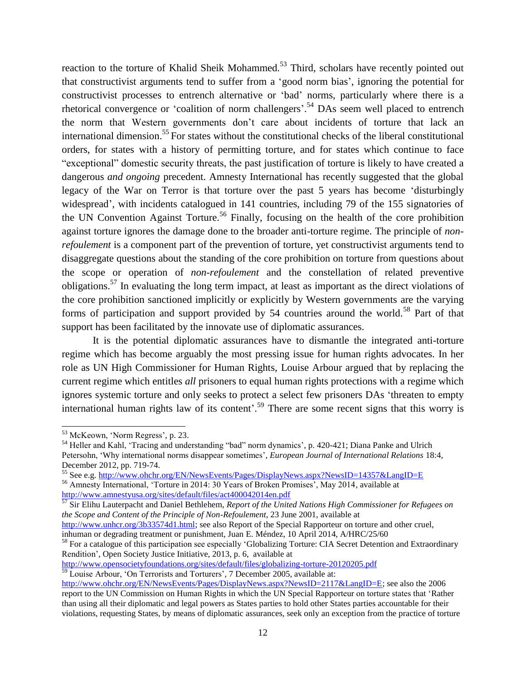reaction to the torture of Khalid Sheik Mohammed.<sup>53</sup> Third, scholars have recently pointed out that constructivist arguments tend to suffer from a 'good norm bias', ignoring the potential for constructivist processes to entrench alternative or 'bad' norms, particularly where there is a rhetorical convergence or 'coalition of norm challengers'.<sup>54</sup> DAs seem well placed to entrench the norm that Western governments don't care about incidents of torture that lack an international dimension.<sup>55</sup> For states without the constitutional checks of the liberal constitutional orders, for states with a history of permitting torture, and for states which continue to face "exceptional" domestic security threats, the past justification of torture is likely to have created a dangerous *and ongoing* precedent. Amnesty International has recently suggested that the global legacy of the War on Terror is that torture over the past 5 years has become 'disturbingly widespread', with incidents catalogued in 141 countries, including 79 of the 155 signatories of the UN Convention Against Torture.<sup>56</sup> Finally, focusing on the health of the core prohibition against torture ignores the damage done to the broader anti-torture regime. The principle of *nonrefoulement* is a component part of the prevention of torture, yet constructivist arguments tend to disaggregate questions about the standing of the core prohibition on torture from questions about the scope or operation of *non-refoulement* and the constellation of related preventive obligations.<sup>57</sup> In evaluating the long term impact, at least as important as the direct violations of the core prohibition sanctioned implicitly or explicitly by Western governments are the varying forms of participation and support provided by  $54$  countries around the world.<sup>58</sup> Part of that support has been facilitated by the innovate use of diplomatic assurances.

It is the potential diplomatic assurances have to dismantle the integrated anti-torture regime which has become arguably the most pressing issue for human rights advocates. In her role as UN High Commissioner for Human Rights, Louise Arbour argued that by replacing the current regime which entitles *all* prisoners to equal human rights protections with a regime which ignores systemic torture and only seeks to protect a select few prisoners DAs 'threaten to empty international human rights law of its content<sup>'.59</sup> There are some recent signs that this worry is

<http://www.opensocietyfoundations.org/sites/default/files/globalizing-torture-20120205.pdf>

 <sup>53</sup> McKeown, 'Norm Regress', p. 23.

<sup>54</sup> Heller and Kahl, 'Tracing and understanding "bad" norm dynamics', p. 420-421; Diana Panke and Ulrich Petersohn, 'Why international norms disappear sometimes', *European Journal of International Relations* 18:4, December 2012, pp. 719-74.

<sup>55</sup> See e.g.<http://www.ohchr.org/EN/NewsEvents/Pages/DisplayNews.aspx?NewsID=14357&LangID=E>

<sup>56</sup> Amnesty International, 'Torture in 2014: 30 Years of Broken Promises', May 2014, available at <http://www.amnestyusa.org/sites/default/files/act400042014en.pdf>

<sup>57</sup> Sir Elihu Lauterpacht and Daniel Bethlehem, *Report of the United Nations High Commissioner for Refugees on the Scope and Content of the Principle of Non-Refoulement*, 23 June 2001, available at

[http://www.unhcr.org/3b33574d1.html;](http://www.unhcr.org/3b33574d1.html) see also Report of the Special Rapporteur on torture and other cruel, inhuman or degrading treatment or punishment, Juan E. Méndez, 10 April 2014, A/HRC/25/60

<sup>&</sup>lt;sup>58</sup> For a catalogue of this participation see especially 'Globalizing Torture: CIA Secret Detention and Extraordinary Rendition', Open Society Justice Initiative, 2013, p. 6, available at

<sup>&</sup>lt;sup>59</sup> Louise Arbour, 'On Terrorists and Torturers', 7 December 2005, available at:

[http://www.ohchr.org/EN/NewsEvents/Pages/DisplayNews.aspx?NewsID=2117&LangID=E;](http://www.ohchr.org/EN/NewsEvents/Pages/DisplayNews.aspx?NewsID=2117&LangID=E) see also the 2006 report to the UN Commission on Human Rights in which the UN Special Rapporteur on torture states that 'Rather than using all their diplomatic and legal powers as States parties to hold other States parties accountable for their violations, requesting States, by means of diplomatic assurances, seek only an exception from the practice of torture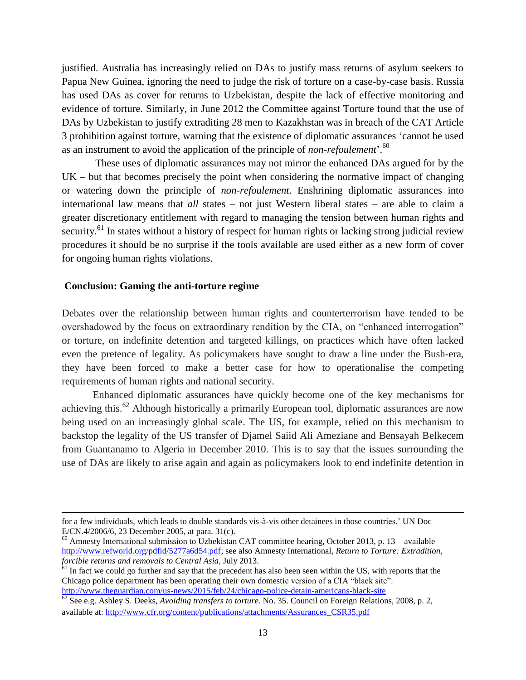justified. Australia has increasingly relied on DAs to justify mass returns of asylum seekers to Papua New Guinea, ignoring the need to judge the risk of torture on a case-by-case basis. Russia has used DAs as cover for returns to Uzbekistan, despite the lack of effective monitoring and evidence of torture. Similarly, in June 2012 the Committee against Torture found that the use of DAs by Uzbekistan to justify extraditing 28 men to Kazakhstan was in breach of the CAT Article 3 prohibition against torture, warning that the existence of diplomatic assurances 'cannot be used as an instrument to avoid the application of the principle of *non-refoulement*'. 60

These uses of diplomatic assurances may not mirror the enhanced DAs argued for by the UK – but that becomes precisely the point when considering the normative impact of changing or watering down the principle of *non-refoulement*. Enshrining diplomatic assurances into international law means that *all* states – not just Western liberal states – are able to claim a greater discretionary entitlement with regard to managing the tension between human rights and security.<sup>61</sup> In states without a history of respect for human rights or lacking strong judicial review procedures it should be no surprise if the tools available are used either as a new form of cover for ongoing human rights violations.

#### **Conclusion: Gaming the anti-torture regime**

Debates over the relationship between human rights and counterterrorism have tended to be overshadowed by the focus on extraordinary rendition by the CIA, on "enhanced interrogation" or torture, on indefinite detention and targeted killings, on practices which have often lacked even the pretence of legality. As policymakers have sought to draw a line under the Bush-era, they have been forced to make a better case for how to operationalise the competing requirements of human rights and national security.

Enhanced diplomatic assurances have quickly become one of the key mechanisms for achieving this.<sup>62</sup> Although historically a primarily European tool, diplomatic assurances are now being used on an increasingly global scale. The US, for example, relied on this mechanism to backstop the legality of the US transfer of Djamel Saiid Ali Ameziane and Bensayah Belkecem from Guantanamo to Algeria in December 2010. This is to say that the issues surrounding the use of DAs are likely to arise again and again as policymakers look to end indefinite detention in

for a few individuals, which leads to double standards vis-à-vis other detainees in those countries.' UN Doc E/CN.4/2006/6, 23 December 2005, at para. 31(c).

<sup>&</sup>lt;sup>60</sup> Amnesty International submission to Uzbekistan CAT committee hearing, October 2013, p. 13 – available [http://www.refworld.org/pdfid/5277a6d54.pdf;](http://www.refworld.org/pdfid/5277a6d54.pdf) see also Amnesty International*, Return to Torture: Extradition, forcible returns and removals to Central Asia*, July 2013.

 $\epsilon$ <sup>61</sup> In fact we could go further and say that the precedent has also been seen within the US, with reports that the Chicago police department has been operating their own domestic version of a CIA "black site": <http://www.theguardian.com/us-news/2015/feb/24/chicago-police-detain-americans-black-site>

<sup>&</sup>lt;sup>62</sup> See e.g. Ashley S. Deeks, *Avoiding transfers to torture*. No. 35. Council on Foreign Relations, 2008, p. 2, available at: [http://www.cfr.org/content/publications/attachments/Assurances\\_CSR35.pdf](http://www.cfr.org/content/publications/attachments/Assurances_CSR35.pdf)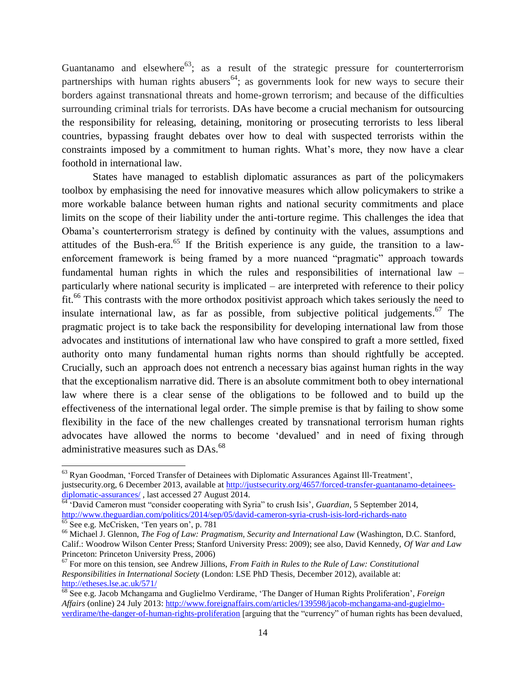Guantanamo and elsewhere<sup>63</sup>; as a result of the strategic pressure for counterterrorism partnerships with human rights abusers<sup>64</sup>; as governments look for new ways to secure their borders against transnational threats and home-grown terrorism; and because of the difficulties surrounding criminal trials for terrorists. DAs have become a crucial mechanism for outsourcing the responsibility for releasing, detaining, monitoring or prosecuting terrorists to less liberal countries, bypassing fraught debates over how to deal with suspected terrorists within the constraints imposed by a commitment to human rights. What's more, they now have a clear foothold in international law.

States have managed to establish diplomatic assurances as part of the policymakers toolbox by emphasising the need for innovative measures which allow policymakers to strike a more workable balance between human rights and national security commitments and place limits on the scope of their liability under the anti-torture regime. This challenges the idea that Obama's counterterrorism strategy is defined by continuity with the values, assumptions and attitudes of the Bush-era.<sup>65</sup> If the British experience is any guide, the transition to a lawenforcement framework is being framed by a more nuanced "pragmatic" approach towards fundamental human rights in which the rules and responsibilities of international law – particularly where national security is implicated – are interpreted with reference to their policy fit.<sup>66</sup> This contrasts with the more orthodox positivist approach which takes seriously the need to insulate international law, as far as possible, from subjective political judgements.<sup>67</sup> The pragmatic project is to take back the responsibility for developing international law from those advocates and institutions of international law who have conspired to graft a more settled, fixed authority onto many fundamental human rights norms than should rightfully be accepted. Crucially, such an approach does not entrench a necessary bias against human rights in the way that the exceptionalism narrative did. There is an absolute commitment both to obey international law where there is a clear sense of the obligations to be followed and to build up the effectiveness of the international legal order. The simple premise is that by failing to show some flexibility in the face of the new challenges created by transnational terrorism human rights advocates have allowed the norms to become 'devalued' and in need of fixing through administrative measures such as DAs.<sup>68</sup>

<sup>&</sup>lt;sup>63</sup> Ryan Goodman, 'Forced Transfer of Detainees with Diplomatic Assurances Against Ill-Treatment', justsecurity.org, 6 December 2013, available at [http://justsecurity.org/4657/forced-transfer-guantanamo-detainees](http://justsecurity.org/4657/forced-transfer-guantanamo-detainees-diplomatic-assurances/)[diplomatic-assurances/](http://justsecurity.org/4657/forced-transfer-guantanamo-detainees-diplomatic-assurances/), last accessed 27 August 2014.

<sup>64</sup> 'David Cameron must "consider cooperating with Syria" to crush Isis', *Guardian*, 5 September 2014, <http://www.theguardian.com/politics/2014/sep/05/david-cameron-syria-crush-isis-lord-richards-nato>

<sup>&</sup>lt;sup>65</sup> See e.g. McCrisken, 'Ten years on', p. 781

<sup>66</sup> Michael J. Glennon, *The Fog of Law: Pragmatism, Security and International Law* (Washington, D.C. Stanford, Calif.: Woodrow Wilson Center Press; Stanford University Press: 2009); see also, David Kennedy, *Of War and Law* Princeton: Princeton University Press, 2006)

<sup>67</sup> For more on this tension, see Andrew Jillions, *From Faith in Rules to the Rule of Law: Constitutional Responsibilities in International Society* (London: LSE PhD Thesis, December 2012), available at: <http://etheses.lse.ac.uk/571/>

<sup>68</sup> See e.g. Jacob Mchangama and Guglielmo Verdirame, 'The Danger of Human Rights Proliferation', *Foreign Affairs* (online) 24 July 2013: [http://www.foreignaffairs.com/articles/139598/jacob-mchangama-and-gugielmo](http://www.foreignaffairs.com/articles/139598/jacob-mchangama-and-gugielmo-verdirame/the-danger-of-human-rights-proliferation)[verdirame/the-danger-of-human-rights-proliferation](http://www.foreignaffairs.com/articles/139598/jacob-mchangama-and-gugielmo-verdirame/the-danger-of-human-rights-proliferation) [arguing that the "currency" of human rights has been devalued,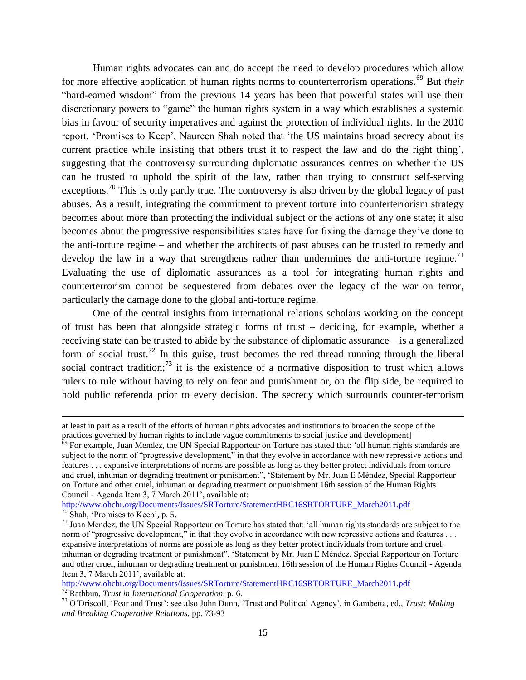Human rights advocates can and do accept the need to develop procedures which allow for more effective application of human rights norms to counterterrorism operations.<sup>69</sup> But *their* "hard-earned wisdom" from the previous 14 years has been that powerful states will use their discretionary powers to "game" the human rights system in a way which establishes a systemic bias in favour of security imperatives and against the protection of individual rights. In the 2010 report, 'Promises to Keep', Naureen Shah noted that 'the US maintains broad secrecy about its current practice while insisting that others trust it to respect the law and do the right thing', suggesting that the controversy surrounding diplomatic assurances centres on whether the US can be trusted to uphold the spirit of the law, rather than trying to construct self-serving exceptions.<sup>70</sup> This is only partly true. The controversy is also driven by the global legacy of past abuses. As a result, integrating the commitment to prevent torture into counterterrorism strategy becomes about more than protecting the individual subject or the actions of any one state; it also becomes about the progressive responsibilities states have for fixing the damage they've done to the anti-torture regime – and whether the architects of past abuses can be trusted to remedy and develop the law in a way that strengthens rather than undermines the anti-torture regime.<sup>71</sup> Evaluating the use of diplomatic assurances as a tool for integrating human rights and counterterrorism cannot be sequestered from debates over the legacy of the war on terror, particularly the damage done to the global anti-torture regime.

One of the central insights from international relations scholars working on the concept of trust has been that alongside strategic forms of trust – deciding, for example, whether a receiving state can be trusted to abide by the substance of diplomatic assurance – is a generalized form of social trust.<sup>72</sup> In this guise, trust becomes the red thread running through the liberal social contract tradition;<sup>73</sup> it is the existence of a normative disposition to trust which allows rulers to rule without having to rely on fear and punishment or, on the flip side, be required to hold public referenda prior to every decision. The secrecy which surrounds counter-terrorism

[http://www.ohchr.org/Documents/Issues/SRTorture/StatementHRC16SRTORTURE\\_March2011.pdf](http://www.ohchr.org/Documents/Issues/SRTorture/StatementHRC16SRTORTURE_March2011.pdf) 

 $\frac{70}{70}$  Shah, 'Promises to Keep', p. 5.

at least in part as a result of the efforts of human rights advocates and institutions to broaden the scope of the practices governed by human rights to include vague commitments to social justice and development]

 $\frac{69}{69}$  For example, Juan Mendez, the UN Special Rapporteur on Torture has stated that: 'all human rights standards are subject to the norm of "progressive development," in that they evolve in accordance with new repressive actions and features . . . expansive interpretations of norms are possible as long as they better protect individuals from torture and cruel, inhuman or degrading treatment or punishment", 'Statement by Mr. Juan E Méndez, Special Rapporteur on Torture and other cruel, inhuman or degrading treatment or punishment 16th session of the Human Rights Council - Agenda Item 3, 7 March 2011', available at:

 $71$  Juan Mendez, the UN Special Rapporteur on Torture has stated that: 'all human rights standards are subject to the norm of "progressive development," in that they evolve in accordance with new repressive actions and features ... expansive interpretations of norms are possible as long as they better protect individuals from torture and cruel, inhuman or degrading treatment or punishment", 'Statement by Mr. Juan E Méndez, Special Rapporteur on Torture and other cruel, inhuman or degrading treatment or punishment 16th session of the Human Rights Council - Agenda Item 3, 7 March 2011', available at:

[http://www.ohchr.org/Documents/Issues/SRTorture/StatementHRC16SRTORTURE\\_March2011.pdf](http://www.ohchr.org/Documents/Issues/SRTorture/StatementHRC16SRTORTURE_March2011.pdf) <sup>72</sup> Rathbun, *Trust in International Cooperation,* p. 6.

<sup>73</sup> O'Driscoll, 'Fear and Trust'; see also John Dunn, 'Trust and Political Agency', in Gambetta, ed., *Trust: Making and Breaking Cooperative Relations*, pp. 73-93